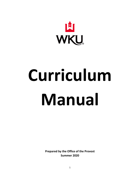

# **Curriculum Manual**

**Prepared by the Office of the Provost Summer 2020**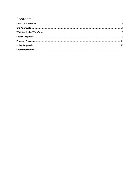# Contents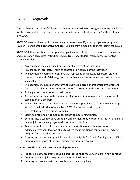# <span id="page-2-0"></span>SACSCOC Approvals

The Southern Association of Colleges and Schools Commission on Colleges is the regional body for the accreditation of degree-granting higher education institutions in the Southern states (SACSCOC).

SACSCOC becomes involved in the curricular process when: (1) a new program or program revision is considered **Substantive Change**; (2) a program's modality changes (coming fall 2020).

SACSCOC defines substantive change as "a significant modification or expansion of the nature and scope of an accredited institution" (SACSCOC). Under federal regulations, substantive change includes:

- Any change in the established mission or objectives of the institution
- Any change in legal status, form of control, or ownership of the institution
- The addition of courses or programs that represent a significant departure, either in content or method of delivery, from those that were offered when the institution was last evaluated
- The addition of courses or programs of study at a degree or credential level different from that which is included in the institution's current accreditation or reaffirmation.
- A change from clock hours to credit hours
- A substantial increase in the number of clock or credit hours awarded for successful completion of a program
- The establishment of an additional location geographically apart from the main campus at which the institution offers at least 50% of an educational program.
- The establishment of a branch campus
- Closing a program, off-campus site, branch campus or institution
- Entering into a collaborative academic arrangement that includes only the initiation of a dual or joint academic program with another institution
- Acquiring another institution or a program or location of another institution
- Adding a permanent location at a site where the institution is conducting a teach-out program for a closed institution
- Entering into a contract by which an entity not eligible for Title IV funding offers 25% or more of one or more of the accredited institution's programs

#### **Contact the Office of the Provost if your department is:**

- 1. Proposing a new program (including certificates) that has 25% or more in new content.
- 2. Creating a dual or joint program with another institution.
- 3. Creating new courses with new content not previously taught.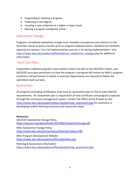- 4. Suspending or deleting a program.
- 5. Proposing a new degree.
- 6. Creating a new credential at a higher or lower level.
- 7. Moving a program completely online.

## Substantive Change

Programs considered substantive change must complete a prospectus and submit it to the SACSCOC Liaison at least 6 months prior to program implementation. Deadlines for SACSCOC approval are January 1 for Fall implementation and July 1 for Spring implementation. Visit [https://www.wku.edu/academicaffairs/pd/sacs\\_substantive\\_changes.php](https://www.wku.edu/academicaffairs/pd/sacs_substantive_changes.php) for additional information.

## Teach-Out Plans

Suspended or deleted programs must submit a teach-out plan to the SACSCOC Liaison, and SACSCOC must give permission to close the program. A program will remain on WKU's program inventory until permission to delete is received. Departments are required to follow the submitted teach-out plan.

## Assessment

All programs (including certificates) must have an assessment plan on file to meet SASCOC requirements. An assessment plan is required for all new certificates and program proposals through the curriculum management system. Contact the Office of the Provost or visit [https://www.wku.edu/academicaffairs/ee/planning\\_assessment.php](https://www.wku.edu/academicaffairs/ee/planning_assessment.php) for assistance in developing student learning outcomes and assessment plans.

#### **Resources:**

SACSCOC Substantive Change Policy <https://sacscoc.org/app/uploads/2019/08/SubstantiveChange.pdf> WKU Substantive Change Policy <https://www.wku.edu/policies/docs/index.php?policy=290> WKU Program Development Website <https://www.wku.edu/academicaffairs/pd/index.php> Planning & Assessment Information [https://www.wku.edu/academicaffairs/ee/planning\\_assessment.php](https://www.wku.edu/academicaffairs/ee/planning_assessment.php)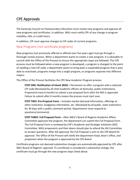# <span id="page-4-0"></span>CPE Approvals

The Kentucky Council on Postsecondary Education must review new programs and approve all new programs and certificates. In addition, WKU must notify CPE of any change in program modality, title, or credit hours.

In addition, CIP must approve changes to CIP codes of current programs.

## New Programs (not certificate programs)

New programs (not previously offered or offered over five years ago) must go through a thorough review process. When a department wants to create a new program, it is advisable to consult with the Office of the Provost to ensure the appropriate steps are followed. The CPE process must be followed when a new program is developed, a program is changed to the point of needing a new CIP code, a department wants to bring back a suspended program that is past date to reactivate, programs merge into a single program, or programs separate into different majors.

The Office of the Provost facilitates the CPE New Academic Program process.

**STEP ONE: Notification of Intent (NOI) –** Permission to offer a program with a selected CIP code (Reviewed by all chief academic officers at Kentucky, public institutions). Proponents have 6 months to submit a pre-proposal form after the NOI is approved. Failure to submit after 6 months means the process must start over.

**STEP TWO: Pre-Proposal Form –** Includes market demand information, offerings at other institution, budgetary information, etc. (Reviewed by all public, state institutions for 30 days with a public comment period. Departments must respond to questions/comments).

**STEP THREE: Full Proposal Form –** After WKU's Board of Regents Academic Affairs Committee approves the program, the department can submit the Full Proposal Form. The Full Proposal Form is reviewed by CPE's Academic and Strategic Initiatives (ASI) Committee. WKU proponents and their deans should plan to attend the ASI Committee to answer questions. After ASI approval, the Full Proposal is sent to the CPE Board for approval. The Office of the Provost will notify the department head, dean's office, and proponent when the program is approved by the CPE Board.

Certificate programs not deemed substantive changes are automatically approved by CPE after WKU Board of Regents' approval. If a certificate is considered a substantive change, the certificate must go through the new program steps listed above.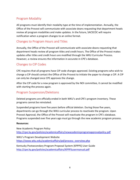## Program Modality

All programs must identify their modality type at the time of implementation. Annually, the Office of the Provost will communicate with associate deans requesting that department heads review all program modalities and make updates. In the future, SACSCOC will require notification when a program changes to an online format.

## Changes to Program Hours and Titles

Annually, the Office of the Provost will communicate with associate deans requesting that department heads review all program titles and credit hours. The Office of the Provost makes updates after titles and credit hours are modified through the WKU Curricular Process. However, a review ensures the information in accurate in CPE's database.

## Changes to CIP Codes

CPE requires that all programs have CIP code changes approved. Existing programs who wish to change a CIP should contact the Office of the Provost to initiate the paper to change a CIP. A CIP can only be changed once CPE approves the change.

After the CIP code for a new program is approved by the NOI committee, it cannot be modified with starting the process again.

## Program Suspension/Deletions

Deleted programs are officially ended in both WKU's and CPE's program inventory. These programs cannot be reinstated.

Suspended programs have five years before official deletion. During those five years, departments can go through the WKU curricular process to reactivate the program. Upon Provost Approval, the Office of the Provost will reactivate the program in CPE's database. Programs suspended over five years ago must go through the new academic program process.

#### **Resources:**

New Academic Program Policy <http://cpe.ky.gov/policies/academicaffairs/newacademicprogramapprovalpolicy.pdf>

WKU's Program Development Website [https://www.wku.edu/academicaffairs/pd/process\\_overview.php](https://www.wku.edu/academicaffairs/pd/process_overview.php)

Kentucky Postsecondary Program Proposal System (KPPPS) User Guide <http://cpe.ky.gov/policies/academicaffairs/KPPPSusermanual.pdf>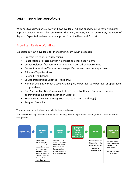# <span id="page-6-0"></span>WKU Curricular Workflows

WKU has two curricular review workflows available: full and expedited. Full review requires approval by faculty curricular committees, the Dean, Provost, and, in some cases, the Board of Regents. Expedited reviews require approval from the Dean and Provost.

## Expedited Review Workflow

Expedited review is available for the following curriculum proposals:

- Program Deletions or Suspensions
- Reactivation of Programs with no impact on other departments
- Course Deletions/Suspensions with no impact on other departments
- Course Prerequisite/Corequisite Changes if no impact on other departments
- Schedule Type Revisions
- Course Prefix Changes
- Course Descriptions Updates (Typos only)
- Number Changes without a Level Change (i.e., lower-level to lower-level or upper-level to upper-level)
- Non-Substantive Title Changes (addition/removal of Roman Numerals, changing abbreviations, no course description update)
- Repeat Limits (consult the Registrar prior to making the change)
- Program Modality

Temporary courses will follow the established approval process.

"Impact on other departments" is defined as affecting another department's majors/minors, prerequisites, or corequisites.

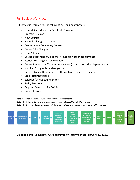## Full Review Workflow

Full review is required for the following curriculum proposals:

- New Majors, Minors, or Certificate Programs
- Program Revisions
- New Courses
- Multiple Changes to a Course
- Extension of a Temporary Course
- Course Title Changes
- New Policies
- Course Suspensions/Deletions (if impact on other departments)
- Student Learning Outcome Updates
- Course Prerequisite/Corequisite Changes (if impact on other departments)
- Number Changes (level changes only)
- Revised Course Descriptions (with substantive content change)
- Credit Hour Revisions
- Establish/Delete Equivalencies
- Policy Revisions
- Request Exemption for Policies
- Course Revisions

Note: Colleges can initiate curriculum changes for programs.

Note: The below internal workflow does not include SACSCOC and CPE approvals.

Note: The Board of Regents Academic Affairs Committee must approve prior to full BOR approval.



**Expedited and Full Reviews were approved by Faculty Senate February 20, 2020.**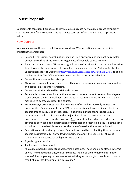# <span id="page-8-0"></span>Course Proposals

Departments can submit proposals to revise courses, create new courses, create temporary courses, suspend/delete courses, and reactivate courses. Information on each is provided below.

#### New Courses

New courses move through the full review workflow. When creating a new course, it is important to remember:

- Course Prefix/Number combinations may be used only once and may not be recycled. Contact the Office of the Registrar to get a list of available course numbers.
- Each course must have a CIP Code assigned per the Council on Postsecondary Education. To determine the appropriate CIP Code for a new course, use the National Center for Educational Statistics website [\(https://nces.ed.gov/ipeds/cipcode/Default.aspx?y=55\)](https://nces.ed.gov/ipeds/cipcode/Default.aspx?y=55) to select the best option. The Office of the Provost can also assist in the selection.
- Course titles appear in the catalogs.
- Abbreviated course titles are limited to 30 characters (including space and punctuation) and appear on students' transcripts.
- Course descriptions should be brief and concise.
- Repeatable courses must include the number of times a student can enroll for degree credit beyond the first enrollment, and the total maximum hours for which a student may receive degree credit for this course.
- Prerequisites/Corequisites must be clearly identified and include only immediate prerequisites. Banner cannot check GPAs as prerequisites; however, it can check for specific grades in courses or test scores. In addition, Banner cannot check vague requirements such as 24 hours in the major. Permission of Instructor can be programmed as a prerequisite; however, ALL students will need an override. There is no difference between adding permission of instructor and restricting a course at the time it is added to the schedule, except for the type of override that must be issued.
- Restrictions must be clearly defined. Restrictions could be: (1) limiting the course to a specific classification; (2) only allowing specific majors in the course; (3) allowing students within a particular college to take a course.
- A grade type is required.
- A schedule type is required.
- All courses should include student learning outcomes. These should be stated in terms of what new knowledge and/or skills students should be able to demonstrate upon successfully completing this course. What will they know, and/or know how to do as a result of successfully completing this course?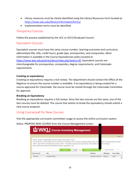- Library resources must be clearly identified using the Library Resources Form located at [https://www.wku.edu/library/information/forms/.](https://www.wku.edu/library/information/forms/)
- Implementation terms must be identified.

## Temporary Courses

Follow the process established by the UCC or GCCC/Graduate Council.

## Equivalent Courses

Equivalent courses must have the same course number, learning outcomes and curriculum, abbreviated title, title, credit hours, grade type, prerequisites, and corequisites. More information is available in the Course Equivalencies policy located at: [https://www.wku.edu/policies/docs/index.php?policy=50.](https://www.wku.edu/policies/docs/index.php?policy=50) Equivalent courses are interchangeable for prerequisites, corequisites, degree requirements, and Colonnade requirements.

#### **Creating an equivalency**

Creating an equivalency requires a full review. The department should contact the Office of the Registrar to ensure the course number is available. If an equivalency is being created for a course approved for Colonnade, the course must be routed through the Colonnade Committee for approval.

#### **Breaking an Equivalency**

Breaking an equivalency requires a full review. Since the two courses are the same, one of the two courses must be deleted. The course that wishes to break the equivalency should submit a new course proposal.

## Using CourseLeaf for New Courses

Visit the appropriate curriculum committee's page to access the online curriculum system.

Select, PROPOSE NEW COURSE from the Course Management screen.

|                | LI WKU Course Inventory Management                                                                                                                                                                                                                                                                                                                                                    |        |                       |                           |                   |                                 |
|----------------|---------------------------------------------------------------------------------------------------------------------------------------------------------------------------------------------------------------------------------------------------------------------------------------------------------------------------------------------------------------------------------------|--------|-----------------------|---------------------------|-------------------|---------------------------------|
|                |                                                                                                                                                                                                                                                                                                                                                                                       |        |                       |                           |                   | Help $\omega$                   |
|                | Search, edit and suspend/delete current courses, and add new courses.<br>Use an asterisk (*) in the search box as a wild card. For example, MATH* will find everything that starts with "MAT<br>"MATH", and *MATH* everything that contains "MATH". The system searches the Course Code, Title, Workflow st<br>Quick Searches provides a list of predefined search categories to use. |        |                       |                           | nd CIM Status     | *MATH everything that ends with |
|                |                                                                                                                                                                                                                                                                                                                                                                                       | Search | $\Box$ Archive - OR - | <b>Propose New Course</b> | Quick Searches    | $\check{ }$                     |
| Course Code    | <b>Title</b>                                                                                                                                                                                                                                                                                                                                                                          |        |                       | <b>Workflow</b>           | <b>CIM Status</b> | <b>Course State</b>             |
| <b>AMS 580</b> | Six Sigma Quality                                                                                                                                                                                                                                                                                                                                                                     |        |                       | Graduate Curriculum       | Revised           | Active                          |
|                |                                                                                                                                                                                                                                                                                                                                                                                       |        |                       |                           |                   |                                 |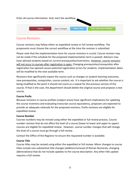

## Course Revisions

Course revisions may follow either an expedited review or full review workflow. The proponents must choose the correct workflow at the time the revision is submitted.

Please note that the implementation term for course revisions is crucial. Course revision may not be made if the schedule for the proposed implementation term is posted. Advisors may have advised students based on current prerequisites/restrictions. However, course revisions will not occur in courses after registration is open. Changing prerequisites/corequisites after registration has opened causes potential registration errors for students. Implementation dates will be modified to the next available term.

Revisions that significantly impact the course such as changes to student learning outcomes, new prerequisites, corequisites, course content, etc. It is important to ask whether the course is being modified to the point it should not count as a repeat for the previous version of the course. If that is the case, the department should delete the original course and propose a new course.

#### **Course Prefix**

Because revisions in course prefixes (subject areas) have significant implications for updating the course inventory and evaluating transcript course equivalency, proposers are expected to provide an adequate rationale for the proposed revisions. Prefix revisions are eligible for expedited review.

#### **Course Number**

Courses numbers may be revised using either the expedited or full review process. Course number revision that do not affect the level of a course (lower to lower and upper to upper) courses are eligible for expedited review. However, course number changes that will change the level of a course must go through a full review.

Contact the Office of the Registrar to ensure the requested number is available.

#### **Course Title**

Course titles may be revised using either the expedited or full review. Minor changes to course titles include non-substantive title changes (addition/removal of Roman Numerals, changing abbreviations) that do not include updates to the course description. Any other title update requires a full review.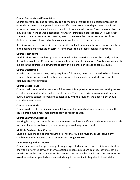#### **Course Prerequisites/Corequisites**

Course prerequisites and corequisites can be modified through the expedited process if no other departments are impacted. However, if courses from other departments are listed as prerequisites/corequisites, the course must go through a full review. Permission of instructor may be listed in the course description; however, listing it is a prerequisite will cause every student to need a prerequisite override, even if they have the course prerequisites listed. Adding permission of instructor to a course is similar to restricting a course.

Revisions to course prerequisites or corequisites will not be made after registration has started in the desired implementation term. It is important to plan these changes in advance.

#### **Course Restrictions**

Modifications to course descriptions require full review. Restrictions must be clearly defined. Restrictions could be: (1) limiting the course to a specific classification; (2) only allowing specific majors in the course; (3) allowing students within a particular college to take a course.

#### **Course Description**

A revision to a course catalog listing requires a full review, unless typos need to be addressed. Course catalog listings should be brief and concise. They should not include prerequisites, corequisites, or restrictions.

#### **Course Credit Hours**

Course credit hour revisions require a full review. It is important to remember revising course credit hours impact students who repeat courses. Therefore, revisions may impact degree audit. If course content is changing substantially with the revision, the department should consider a new course.

#### **Course Grade Mode**

Course grade mode revisions require a full review. It is important to remember revising the course grade mode may impact students who repeat courses.

#### **Course Learning Outcomes**

Revising learning outcomes for a course requires a full review. If substantial revisions are made to student learning outcomes, a new course proposal may be required.

#### **Multiple Revisions to a Course**

Multiple revisions to a course require a full review. Multiple revisions could include any combination of the above course revisions for a single course.

#### **Deleting/Suspending Courses**

Course deletions and suspensions go through expedited review. However, it is important to know the difference between the two options. When courses are deleted, they may not be reactivated in the course inventory. Suspended courses may be reactivated. Departments are asked to review suspended courses periodically to determine if they should be officially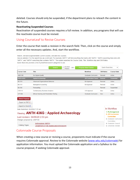deleted. Courses should only be suspended, if the department plans to reteach the content in the future.

#### **Reactivating Suspended Courses**

Reactivation of suspended courses requires a full review. In addition, any programs that will use the reactivate course must be revised.

## Using CourseLeaf to Revise Courses

Enter the course that needs a revision in the search field. Then, click on the course and simply enter all the necessary updates. And, start the workflow.

Search, edit and suspend/delete current courses, and add new courses.

Use an asterisk (\*) in the search box as a wild card. For example, MATH\* will find everything that starts with "MATH", \*MATH everything that ends with "MATH", and \*MATH\* everything that contains "MATH". The system searches the Course Code, Title, Workflow step and CIM Status. Quick Searches provides a list of predefined search categories to use.

|                                                                                                  | Search                                                                      | $\Box$ Archive<br>$-OR -$<br>$\Box$ History | <b>Propose New Course</b>  | Quick Searches    | $\checkmark$                                      |
|--------------------------------------------------------------------------------------------------|-----------------------------------------------------------------------------|---------------------------------------------|----------------------------|-------------------|---------------------------------------------------|
| <b>Course Code</b>                                                                               | <b>Title</b>                                                                |                                             | <b>Workflow</b>            | <b>CIM Status</b> | <b>Course State</b>                               |
| <b>AMS 580</b>                                                                                   | <b>Six Sigma Quality</b>                                                    |                                             | Graduate Curriculum        | Revised           | Active                                            |
| <b>ANTH 436G</b>                                                                                 | <b>Applied Archaeology</b>                                                  |                                             | AR Curriculum Comm Revised |                   | <b>Suspended</b>                                  |
| <b>BA510</b>                                                                                     | <b>Advanced Organizational Behavior</b>                                     |                                             | <b>BA</b> Approval         | Revised           | Active                                            |
| <b>BA515</b>                                                                                     | <b>Managerial Accounting</b>                                                |                                             | <b>BA</b> Approval         | Revised           | Active                                            |
| <b>BA543</b>                                                                                     | Forecasting                                                                 |                                             |                            | Revised           | Suspended                                         |
| <b>CIS 513</b>                                                                                   | <b>Contemporary Business Analytics</b>                                      |                                             | <b>CIS Approval</b>        | <b>New</b>        | Active                                            |
| <b>CIT 556</b>                                                                                   | <b>Ethical Hacking and Penetration Testing</b>                              |                                             | Graduate Curriculum        | <b>New</b>        | Active<br>$\overline{\phantom{a}}$                |
| <b>Shred Proposal</b><br>Export to PDF A<br>Export to Word 圖<br>Date Submitted: 03/25/20 7:07 am |                                                                             |                                             |                            |                   | In Workflow                                       |
|                                                                                                  | Viewing: ANTH 436G : Applied Archaeology<br>Last revision: 04/06/20 2:53 pm |                                             |                            |                   | 1. FLKA Approval<br>2. AR Curriculum<br>Committee |
| Changes proposed by: drl97130                                                                    |                                                                             |                                             |                            |                   | 3. Graduate Curriculum<br>Committee               |
|                                                                                                  | Anthropology (ANTH)                                                         |                                             |                            |                   | 4 Graduate Council                                |

## Colonnade Course Proposals

Department of Folk Studies and Anthropology

Catalog Pages

When creating a new course or revising a course, proponents must indicate if the course requires Colonnade approval. Review to the Colonnade website [\(www.wku.edu/colonnade\)](http://www.wku.edu/colonnade) for application information. You must upload the Colonnade application and a Syllabus to the course proposal, if seeking Colonnade approval.

5. University Senate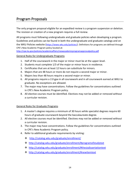# <span id="page-13-0"></span>Program Proposals

The only program proposal eligible for an expedited review is a program suspension or deletion. The revision or creation of a new program requires a full review.

All programs must following undergraduate and graduate policies when developing a program. Guidelines and policies can be found in both the undergraduate and graduate catalogs and on the WKU Policies website [\(https://www.wku.edu/policies/\)](https://www.wku.edu/policies/). Definitions for programs are defined through CPE's New Academic Program policy located at:

<http://cpe.ky.gov/policies/academicaffairs/newacademicprogramapprovalpolicy.pdf>

#### General Rules for Undergraduate Programs

- 1. Half of the coursework in the major or minor must be at the upper-level.
- 2. Students must complete 1/3 of the major or minor hours in residence.
- 3. Certificates that are at least 12 hours can substitute for minors.
- 4. Majors that are 48 hours or more do not require a second major or minor.
- 5. Majors less than 48 hours require a second major or minor.
- 6. All programs require a 2.0 gpa in all coursework and in all coursework earned at WKU to graduate. No exceptions are allowed.
- 7. The major may have concentrations. Follow the guidelines for concentrations outlined in CPE's New Academic Program policy.
- 8. All elective courses must be identified. Electives may not be added or removed without a curricular revision.

#### General Rules for Graduate Programs

- 1. A master's degree requires a minimum of 30 hours while specialist degrees require 60 hours of graduate coursework beyond the baccalaureate degree.
- 2. All elective courses must be identified. Electives may not be added or removed without a curricular revision.
- 3. The major may have concentrations. Follow the guidelines for concentrations outlined in CPE's New Academic Program policy.
- 4. Refer to additional graduate requirements by visiting:
	- <http://catalog.wku.edu/graduate/enrollment/>
	- <http://catalog.wku.edu/graduate/enrollment/#programofstudytext>
	- <http://catalog.wku.edu/graduate/enrollment/#thesisdissertationtext>
	- <http://catalog.wku.edu/graduate/enrollment/#newitemtext>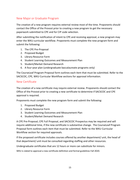## New Major or Graduate Program

The creation of a new program requires external review most of the time. Proponents should contact the Office of the Provost prior to creating a new program to get the necessary paperwork submitted to CPE and for CIP code selection.

After submitting the notification of intent to CPE and receiving approval, a new program may enter the WKU curricular workflow. Proponents must complete the new program form and submit the following:

- 1. The CPE Pre-Proposal
- 2. Proposed Budget
- 3. Library Resource Form
- 4. Student Learning Outcomes and Measurement Plan
- 5. Student/Market Demand Research
- 6. A four-year plan (undergraduate baccalaureate programs only)

The CourseLeaf Program Proposal form outlines each item that must be submitted. Refer to the SACSCOC, CPE, WKU Curricular Workflow sections for approval information.

## New Certificate

The creation of a new certificate may require external review. Proponents should contact the Office of the Provost prior to creating a new certificate to determine if SACSCOC and CPE approval is required.

Proponents must complete the new program form and submit the following:

- 1. Proposed Budget
- 2. Library Resource Form
- 3. Student Learning Outcomes and Measurement Plan
- 4. Student/Market Demand Research

A CPE Pre-Proposal, CPE Full Proposal, and SACSCOC Prospectus may be required and will require additional time, if the new certificate is substantive change. The CourseLeaf Program Proposal form outlines each item that must be submitted. Refer to the WKU Curricular Workflow section for required approvals.

If the proposed certificate includes courses offered by another department/ unit, the head of that department/ unit must be consulted regarding staffing and other resources.

Undergraduate certificates that are 12 hours or more can substitute for minors.

WKU is slated to approval a new certificate definition and formal guidelines Fall 2020.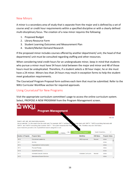## New Minors

A minor is a secondary area of study that is separate from the major and is defined by a set of course and/ or credit hour requirements within a specified discipline or with a clearly defined multi-disciplinary focus. The creation of a new minor requires the following:

- 1. Proposed Budget
- 2. Library Resource Form
- 3. Student Learning Outcomes and Measurement Plan
- 4. Student/Market Demand Research

If the proposed minor includes courses offered by another department/ unit, the head of that department/ unit must be consulted regarding staffing and other resources.

When considering total credit hours for an undergraduate minor, keep in mind that students who pursue a minor must have 54 hours total between the major and minor and 48 of those hours must be unduplicated. Therefore, if a student selects a 30 hour major, he or she must have a 24 minor. Minors less than 24 hours may result in exception forms to help the student meet graduation requirements.

The CourseLeaf Program Proposal form outlines each item that must be submitted. Refer to the WKU Curricular Workflow section for required approvals.

## Using CourseLeaf for New Programs

Visit the appropriate curriculum committee's page to access the online curriculum system. Select, PROPOSE A NEW PROGRAM from the Program Management screen.

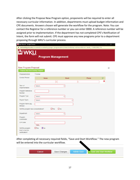After clicking the Propose New Program option, proponents will be required to enter all necessary curricular information. In addition, departments must upload budget information and CPE documents. Answers chosen will generate the workflow for the program. Note: You can contact the Registrar for a reference number or you can enter 0000. A reference number will be assigned prior to implementation. If the department has not completed CPE's Notification of Intent, the form will not submit. CPE must approve any new programs prior to a department proposing through WKU's curricular process.

| <b>Li</b> New Record - Google Chrome                   |                                                                                                                     |              |       |         | Ο |
|--------------------------------------------------------|---------------------------------------------------------------------------------------------------------------------|--------------|-------|---------|---|
|                                                        | nextcatalog.wku.edu/courseleaf/courseleaf.cgi?page=/programadmin/index.html&step=editrecord&cmd=new&_=1594929982776 |              |       |         |   |
|                                                        |                                                                                                                     |              |       |         |   |
|                                                        | <b>Program Management</b>                                                                                           |              |       |         |   |
|                                                        |                                                                                                                     |              |       |         |   |
| <b>New Program Proposal</b>                            |                                                                                                                     |              |       |         | ÷ |
| Propose New from Existing Program                      | Active                                                                                                              |              |       |         |   |
| Proposed Action<br><b>Contact Person</b>               |                                                                                                                     |              |       | $\odot$ |   |
|                                                        | <b>Name</b>                                                                                                         | Email        | Phone | Ø       |   |
|                                                        |                                                                                                                     |              |       |         |   |
| Term of<br>Implementation                              | Select                                                                                                              |              |       |         |   |
| Program Reference<br>Number                            |                                                                                                                     |              |       |         |   |
| Program Type                                           | Select                                                                                                              | v            |       |         |   |
| Degree Types                                           | Select                                                                                                              | $\checkmark$ |       |         |   |
| Program Name (eg.<br>Biology)                          |                                                                                                                     |              |       |         |   |
| Will this program have concentrations?                 | $\Box$ Yes                                                                                                          | $\Box$ No    |       |         |   |
| Department                                             | Select                                                                                                              | $\checkmark$ |       |         |   |
| Program                                                |                                                                                                                     |              |       |         |   |
| Coordinator                                            |                                                                                                                     |              |       |         |   |
| CIP Code                                               | Find                                                                                                                |              |       |         |   |
| Will this program<br>lead to teacher<br>certification? | $\bigcirc$ No<br>$\Box$ Yes                                                                                         |              |       |         |   |

After completing all necessary required fields, "Save and Start Workflow." The new program will be entered into the curricular workflow.

| Cancel | Save Changes | <b>Admin Save</b> | Save and Start Worfklow |
|--------|--------------|-------------------|-------------------------|
|--------|--------------|-------------------|-------------------------|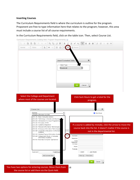#### **Inserting Courses**

The Curriculum Requirements field is where the curriculum is outline for the program. Proponent are free to type information here that relates to the program; however, this area must include a course list of all course requirements.

In the Curriculum Requirements field, click on the table icon. Then, select Course List.



Curriculum Requirements (Catalog field: Program Requirements) @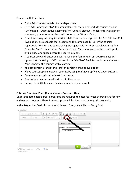Course List Helpful Hints:

- Quick Add courses outside of your department.
- Use "Add Comment Entry" to enter statements that do not include courses such as "Colonnade – Quantitative Reasoning" or "General Elective." When entering a generic comment, you must enter the credit hours to the "Hours" field.
- Sometimes programs require students take two courses together like BIOL 113 and 114. Two options are available that accomplish the same goal: (1) Enter the courses separately; (2) Enter one course using the "Quick Add" or "Course Selection" option. Enter the "and" course in the "Sequence" field. Make sure you use the correct prefix and include one space before the course number.
- If courses are OR'd, enter one course using the "Quick Add" or "Course Selection" option. List the string of OR'd courses in the "Or Class" field. Do not include the word "or." Separate the courses with a comma.
- You can combine "ands" and "ors" by combining the above options.
- Move courses up and down in your list by using the Move Up/Move Down buttons.
- Comments can be inserted next to a course.
- Footnotes appear as small text next to the course.
- Be sure to hit OK to make the plan appear in the proposal.

#### **Entering Four-Year Plans (Baccalaureate Programs Only)**

Undergraduate baccalaureate programs are required to enter four-year degree plans for new and revised programs. These four-year plans will load into the undergraduate catalog.

In the 4-Year Plan field, click on the table icon. Then, select Plan of Study Grid.

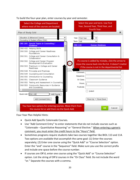To build the four-year plan, enter courses by year and semester.

| Select the College and Department<br>where most of the courses are located.                                                                                                                                                                                                                                       | Select the year and term. Use First<br>Year, Second Year, Third Year, and<br>Fourth Year.                                              |
|-------------------------------------------------------------------------------------------------------------------------------------------------------------------------------------------------------------------------------------------------------------------------------------------------------------------|----------------------------------------------------------------------------------------------------------------------------------------|
| Plan of Study Grid                                                                                                                                                                                                                                                                                                | ×                                                                                                                                      |
| Education & Behavioral Science<br>Counseling & Student Affairs (CNS)<br>CNS 269 Special Topics in Counseling /<br>Guidance<br>CNS 432 Helping Skills<br>CNS 500 College and Career Readiness<br>Foundations<br>CNS 501 College and Career Consultation &<br>Collaboration                                         | v<br>Year: First Year<br>Term: Fall<br><b>CNS 110</b><br><b>Human Relations</b><br>If a course is added by mistake, click the arrow to |
| CNS 502 College and Career Program<br>Development & Evaluation<br>CNS 503 Practicum in College and Career<br>Readiness                                                                                                                                                                                            | $\geq$<br>move the course back into the list. It doesn't matter<br>if the course is not in the departmental list.                      |
| CNS 548 Principles and Practices<br>CNS 549 Counseling and Consultation<br>CNS 550 Introduction to Counseling<br>CNS 551 Classroom Guidance<br>CNS 552 Testing and Assessment in Counseling<br>CNS 553 Community Resources in Guidance<br>and Counseling<br>Add Course<br>Quick Add: ENG 100<br>Add Comment Entry | <<<br>Comment:<br>Sequence:<br>Or Class:<br>Hours: $3$<br>Footnote:<br>Indent<br>Move Down<br>Move Up                                  |
| You have two options for entering courses. Move them from<br>the course list or add them via the Quick Add.                                                                                                                                                                                                       | OK<br>Cancel                                                                                                                           |

Four Year Plan Helpful Hints:

- Quick Add Specific Colonnade Courses.
- Use "Add Comment Entry" to enter statements that do not include courses such as "Colonnade – Quantitative Reasoning" or "General Elective." When entering a generic comment, you must enter the credit hours to the "Hours" field.
- Sometimes programs require students take two courses together like BIOL 113 and 114. Two options are available that accomplish the same goal: (1) Enter the courses separately; (2) Enter one course using the "Quick Add" or "Course Selection" option. Enter the "and" course in the "Sequence" field. Make sure you use the correct prefix and include one space before the course number.
- If courses are OR'd, enter one course using the "Quick Add" or "Course Selection" option. List the string of OR'd courses in the "Or Class" field. Do not include the word "or." Separate the courses with a comma.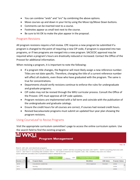- You can combine "ands" and "ors" by combining the above options.
- Move courses up and down in your list by using the Move Up/Move Down buttons.
- Comments can be inserted next to a course.
- Footnotes appear as small text next to the course.
- Be sure to hit OK to make the plan appear in the proposal.

#### Program Revisions

All program revisions require a full review. CPE requires a new program be submitted if a program is changed to the point of requiring a new CIP code, if program is separated into two programs, or if two programs are merged into a new program. SACSCOC approval may be required when a program's hours are drastically reduced or increased. Contact the Office of the Provost for additional information.

When revising a program, it is important to note the following:

- If a program title changes, the Registrar will most likely assign a new reference number. Titles are not date specific. Therefore, changing the title of a current reference number will affect all students, even those who have graduated with the program. The same is true for concentrations.
- Departments should verify revisions continue to enforce the rules for undergraduate and graduate programs.
- CIP codes may not be revised through the WKU curricular process. Consult the Office of the Provost. CPE must approve all CIP code updates.
- Program revisions are implemented with a fall term and coincide with the publication of the undergraduate and graduate catalogs.
- Ensure the credit hours for all courses are correct, if courses had revised credit hours.
- Revised baccalaureate programs must submit an updated four-year plan showing the program revisions.

#### Using CourseLeaf to Revise Programs

Visit the appropriate curriculum committee's page to access the online curriculum system. Use the search field to find the existing program.

| LI WKU. | <b>Program Management</b> |  |
|---------|---------------------------|--|
|         |                           |  |

Search, edit, add, and deactivate programs. Use an asterisk (\*) in the search box as a wild card. For example, MATH\* will find everything that starts with "MATH", \*MATH everything that ends with "MATH", and \*MATH\* everything that contains "MATH". The system searches the Program Code, Title, Workflow step and CIM Status. Quick Searches provides a list of predefined search categories to use.

|                   | Search                        | $-$ OR $-$<br>$\Box$ History | Propose New Program | Quick Searches    | $\checkmark$          |
|-------------------|-------------------------------|------------------------------|---------------------|-------------------|-----------------------|
| Number of Pre ram | <b>Program Name</b>           |                              | <b>Workflow</b>     | <b>CIM Status</b> | <b>Program Status</b> |
| 0010              | <b>Educational Leadership</b> |                              | 99ED Approval       | Revised           | Active                |
| 0011              | <b>Nursing</b>                |                              |                     |                   | Active                |
| 0012              | Organizational Communication  |                              |                     |                   | Active                |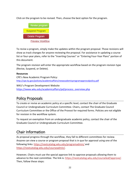Click on the program to be revised. Then, choose the best option for the program.



To revise a program, simply make the updates within the program proposal. Those revisions will show as track changes for anyone reviewing the proposal. For assistance in updating a course list or four-year plans, refer to the "Inserting Courses" or "Entering Four-Year Plans" portion of this document.

The program revision will enter the appropriate workflow based on the program revision type (Revise, Suspend, or Delete).

#### **Resources**

CPE's New Academic Program Policy: <http://cpe.ky.gov/policies/academicaffairs/newacademicprogramapprovalpolicy.pdf>

WKU's Program Development Website [https://www.wku.edu/academicaffairs/pd/process\\_overview.php](https://www.wku.edu/academicaffairs/pd/process_overview.php)

# <span id="page-21-0"></span>Policy Proposals

To create or revise an academic policy at a specific level, contact the chair of the Graduate Council or Undergraduate Curriculum Committee. Chairs, contact The Graduate Council Curriculum Committee or the Office of the Provost for required forms. Policies are not eligible for revision in the workflow system.

To request an exemption from an undergraduate academic policy, contact the chair of the Graduate Council or Undergraduate Curriculum Committee.

# <span id="page-21-1"></span>Chair Information

As proposal progress through the workflow, they fall to different committees for review. Anyone can view a course or program proposal that is in que for approval using one of the following links[: https://nextcatalog.wku.edu/programadmin/](https://nextcatalog.wku.edu/programadmin/) and [https://nextcatalog.wku.edu/courseadmin/.](https://nextcatalog.wku.edu/courseadmin/)

However, Chairs must use the special approve link to approve proposals allowing them to advance to the next committee. The link is: [https://nextcatalog.wku.edu/courseleaf/approve/.](https://nextcatalog.wku.edu/courseleaf/approve/) Then, follow these steps: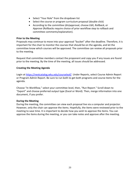- Select "Your Role" from the dropdown list
- Select the course or program curriculum proposal (double click)
- According to the committee (dis)approval, choose *Edit, Rollback, or Approve* (Rollbacks require choice of prior workflow step to rollback and committee comments/explanation).

#### **Prior to the Meeting**

Proposals may continue to move into your approval "bucket" after the deadline. Therefore, it is important for the chair to monitor the courses that should be on the agenda, and let the committee know which courses will be approved. The committee can review all proposals prior to the meeting.

Request that committee members contact the proponent and copy you if any issues are found prior to the meeting. By the time of the meeting, all issues should be addressed.

#### **Creating the Meeting Agenda**

Login at [https://nextcatalog.wku.edu/courseleaf/.](https://nextcatalog.wku.edu/courseleaf/) Under Reports, select Course Admin Report or Program Admin Report. Be sure to run both to get both programs and course items for the agenda.

Choose "In Workflow," select your committee level, then, "Run Report." Scroll down to "Export" and choose preferred output type (Excel or Word). Then, merge information into one document, if you prefer.

#### **During the Meeting**

During the meeting, the committee can view each proposal live via a computer and projector. However, only the chair can approve the items. Hopefully, the items were reviewed prior to the meeting to save time. It is important to decide how you wish to approve the items. You can approve the items during the meeting, or you can take notes and approve after the meeting.